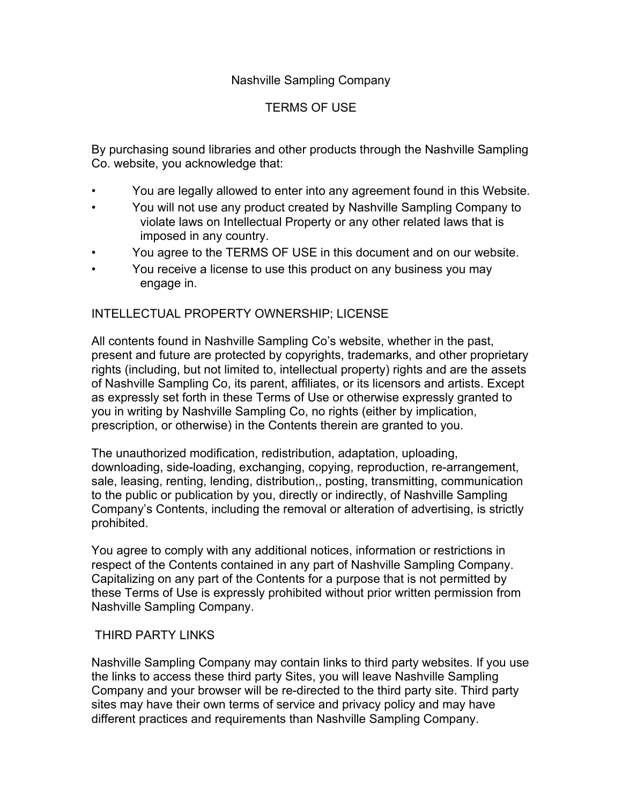# Nashville Sampling Company

# TERMS OF USE

By purchasing sound libraries and other products through the Nashville Sampling Co. website, you acknowledge that:

- You are legally allowed to enter into any agreement found in this Website.
- You will not use any product created by Nashville Sampling Company to violate laws on Intellectual Property or any other related laws that is imposed in any country.
- You agree to the TERMS OF USE in this document and on our website.
- You receive a license to use this product on any business you may engage in.

### INTELLECTUAL PROPERTY OWNERSHIP; LICENSE

All contents found in Nashville Sampling Co's website, whether in the past, present and future are protected by copyrights, trademarks, and other proprietary rights (including, but not limited to, intellectual property) rights and are the assets of Nashville Sampling Co, its parent, affiliates, or its licensors and artists. Except as expressly set forth in these Terms of Use or otherwise expressly granted to you in writing by Nashville Sampling Co, no rights (either by implication, prescription, or otherwise) in the Contents therein are granted to you.

The unauthorized modification, redistribution, adaptation, uploading, downloading, side-loading, exchanging, copying, reproduction, re-arrangement, sale, leasing, renting, lending, distribution,, posting, transmitting, communication to the public or publication by you, directly or indirectly, of Nashville Sampling Company's Contents, including the removal or alteration of advertising, is strictly prohibited.

You agree to comply with any additional notices, information or restrictions in respect of the Contents contained in any part of Nashville Sampling Company. Capitalizing on any part of the Contents for a purpose that is not permitted by these Terms of Use is expressly prohibited without prior written permission from Nashville Sampling Company.

### THIRD PARTY LINKS

Nashville Sampling Company may contain links to third party websites. If you use the links to access these third party Sites, you will leave Nashville Sampling Company and your browser will be re-directed to the third party site. Third party sites may have their own terms of service and privacy policy and may have different practices and requirements than Nashville Sampling Company.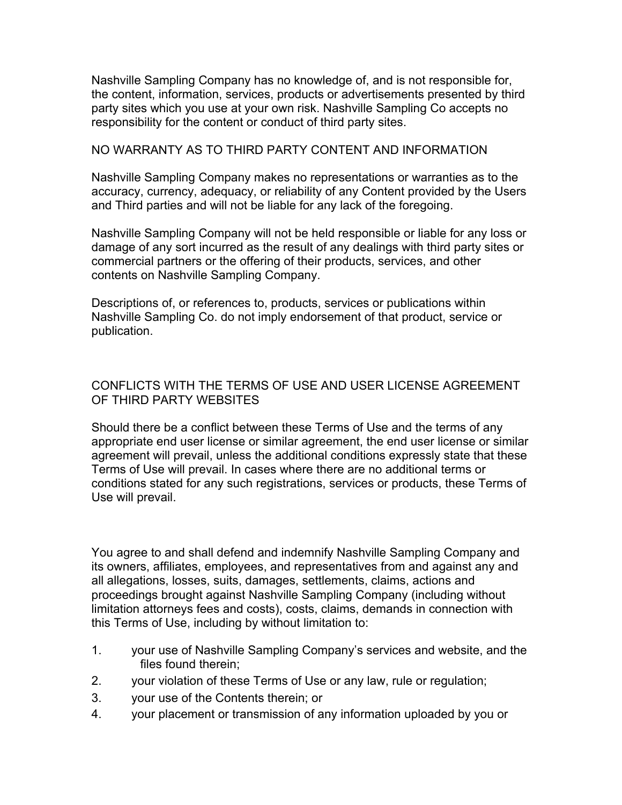Nashville Sampling Company has no knowledge of, and is not responsible for, the content, information, services, products or advertisements presented by third party sites which you use at your own risk. Nashville Sampling Co accepts no responsibility for the content or conduct of third party sites.

#### NO WARRANTY AS TO THIRD PARTY CONTENT AND INFORMATION

Nashville Sampling Company makes no representations or warranties as to the accuracy, currency, adequacy, or reliability of any Content provided by the Users and Third parties and will not be liable for any lack of the foregoing.

Nashville Sampling Company will not be held responsible or liable for any loss or damage of any sort incurred as the result of any dealings with third party sites or commercial partners or the offering of their products, services, and other contents on Nashville Sampling Company.

Descriptions of, or references to, products, services or publications within Nashville Sampling Co. do not imply endorsement of that product, service or publication.

# CONFLICTS WITH THE TERMS OF USE AND USER LICENSE AGREEMENT OF THIRD PARTY WEBSITES

Should there be a conflict between these Terms of Use and the terms of any appropriate end user license or similar agreement, the end user license or similar agreement will prevail, unless the additional conditions expressly state that these Terms of Use will prevail. In cases where there are no additional terms or conditions stated for any such registrations, services or products, these Terms of Use will prevail.

You agree to and shall defend and indemnify Nashville Sampling Company and its owners, affiliates, employees, and representatives from and against any and all allegations, losses, suits, damages, settlements, claims, actions and proceedings brought against Nashville Sampling Company (including without limitation attorneys fees and costs), costs, claims, demands in connection with this Terms of Use, including by without limitation to:

- 1. your use of Nashville Sampling Company's services and website, and the files found therein;
- 2. your violation of these Terms of Use or any law, rule or regulation;
- 3. your use of the Contents therein; or
- 4. your placement or transmission of any information uploaded by you or